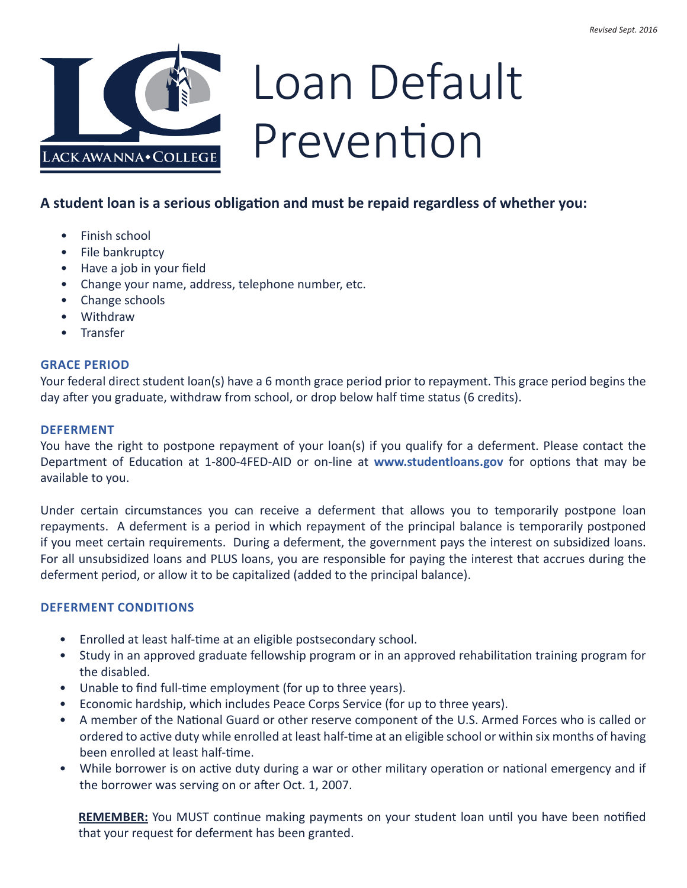

# Loan Default Prevention

## **A student loan is a serious obligation and must be repaid regardless of whether you:**

- Finish school
- File bankruptcy
- Have a job in your field
- Change your name, address, telephone number, etc.
- Change schools
- Withdraw
- Transfer

## **GRACE PERIOD**

Your federal direct student loan(s) have a 6 month grace period prior to repayment. This grace period begins the day after you graduate, withdraw from school, or drop below half time status (6 credits).

#### **DEFERMENT**

You have the right to postpone repayment of your loan(s) if you qualify for a deferment. Please contact the Department of Education at 1-800-4FED-AID or on-line at **[www.studentloans.gov](http://www.studentloans.gov)** for options that may be available to you.

Under certain circumstances you can receive a deferment that allows you to temporarily postpone loan repayments. A deferment is a period in which repayment of the principal balance is temporarily postponed if you meet certain requirements. During a deferment, the government pays the interest on subsidized loans. For all unsubsidized loans and PLUS loans, you are responsible for paying the interest that accrues during the deferment period, or allow it to be capitalized (added to the principal balance).

#### **DEFERMENT CONDITIONS**

- Enrolled at least half-time at an eligible postsecondary school.
- Study in an approved graduate fellowship program or in an approved rehabilitation training program for the disabled.
- Unable to find full-time employment (for up to three years).
- Economic hardship, which includes Peace Corps Service (for up to three years).
- A member of the National Guard or other reserve component of the U.S. Armed Forces who is called or ordered to active duty while enrolled at least half-time at an eligible school or within six months of having been enrolled at least half-time.
- While borrower is on active duty during a war or other military operation or national emergency and if the borrower was serving on or after Oct. 1, 2007.

**REMEMBER:** You MUST continue making payments on your student loan until you have been notified that your request for deferment has been granted.